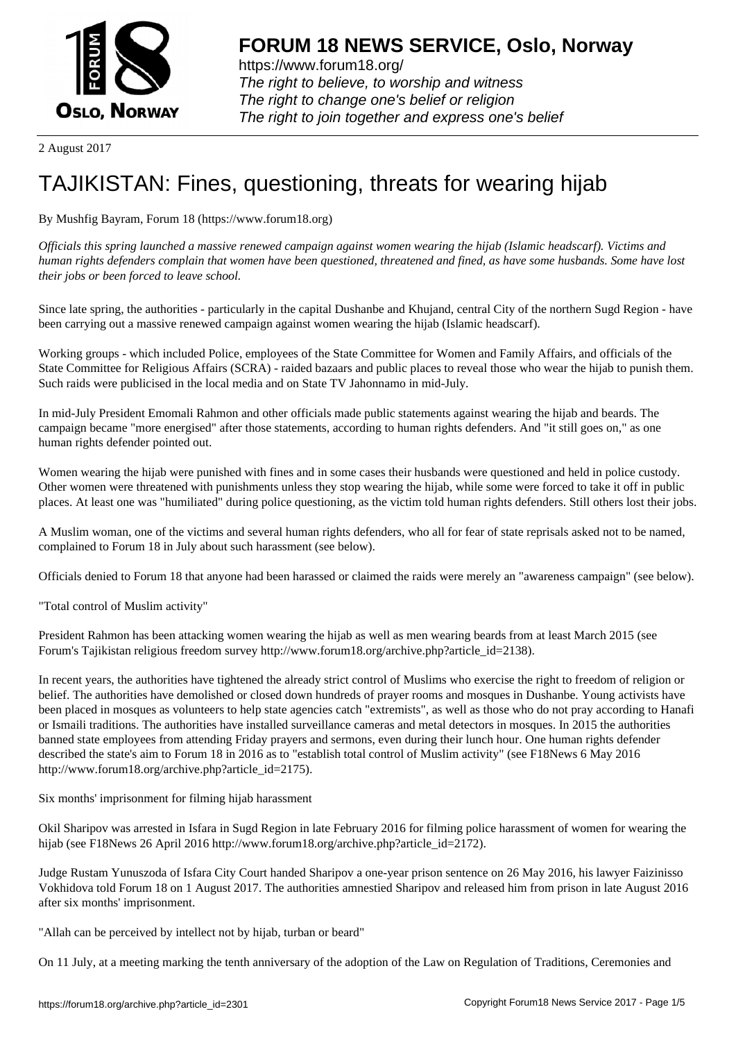

https://www.forum18.org/ The right to believe, to worship and witness The right to change one's belief or religion [The right to join together a](https://www.forum18.org/)nd express one's belief

2 August 2017

# [TAJIKISTAN: F](https://www.forum18.org)ines, questioning, threats for wearing hijab

By Mushfig Bayram, Forum 18 (https://www.forum18.org)

*Officials this spring launched a massive renewed campaign against women wearing the hijab (Islamic headscarf). Victims and human rights defenders complain that women have been questioned, threatened and fined, as have some husbands. Some have lost their jobs or been forced to leave school.*

Since late spring, the authorities - particularly in the capital Dushanbe and Khujand, central City of the northern Sugd Region - have been carrying out a massive renewed campaign against women wearing the hijab (Islamic headscarf).

Working groups - which included Police, employees of the State Committee for Women and Family Affairs, and officials of the State Committee for Religious Affairs (SCRA) - raided bazaars and public places to reveal those who wear the hijab to punish them. Such raids were publicised in the local media and on State TV Jahonnamo in mid-July.

In mid-July President Emomali Rahmon and other officials made public statements against wearing the hijab and beards. The campaign became "more energised" after those statements, according to human rights defenders. And "it still goes on," as one human rights defender pointed out.

Women wearing the hijab were punished with fines and in some cases their husbands were questioned and held in police custody. Other women were threatened with punishments unless they stop wearing the hijab, while some were forced to take it off in public places. At least one was "humiliated" during police questioning, as the victim told human rights defenders. Still others lost their jobs.

A Muslim woman, one of the victims and several human rights defenders, who all for fear of state reprisals asked not to be named, complained to Forum 18 in July about such harassment (see below).

Officials denied to Forum 18 that anyone had been harassed or claimed the raids were merely an "awareness campaign" (see below).

"Total control of Muslim activity"

President Rahmon has been attacking women wearing the hijab as well as men wearing beards from at least March 2015 (see Forum's Tajikistan religious freedom survey http://www.forum18.org/archive.php?article\_id=2138).

In recent years, the authorities have tightened the already strict control of Muslims who exercise the right to freedom of religion or belief. The authorities have demolished or closed down hundreds of prayer rooms and mosques in Dushanbe. Young activists have been placed in mosques as volunteers to help state agencies catch "extremists", as well as those who do not pray according to Hanafi or Ismaili traditions. The authorities have installed surveillance cameras and metal detectors in mosques. In 2015 the authorities banned state employees from attending Friday prayers and sermons, even during their lunch hour. One human rights defender described the state's aim to Forum 18 in 2016 as to "establish total control of Muslim activity" (see F18News 6 May 2016 http://www.forum18.org/archive.php?article\_id=2175).

Six months' imprisonment for filming hijab harassment

Okil Sharipov was arrested in Isfara in Sugd Region in late February 2016 for filming police harassment of women for wearing the hijab (see F18News 26 April 2016 http://www.forum18.org/archive.php?article\_id=2172).

Judge Rustam Yunuszoda of Isfara City Court handed Sharipov a one-year prison sentence on 26 May 2016, his lawyer Faizinisso Vokhidova told Forum 18 on 1 August 2017. The authorities amnestied Sharipov and released him from prison in late August 2016 after six months' imprisonment.

"Allah can be perceived by intellect not by hijab, turban or beard"

On 11 July, at a meeting marking the tenth anniversary of the adoption of the Law on Regulation of Traditions, Ceremonies and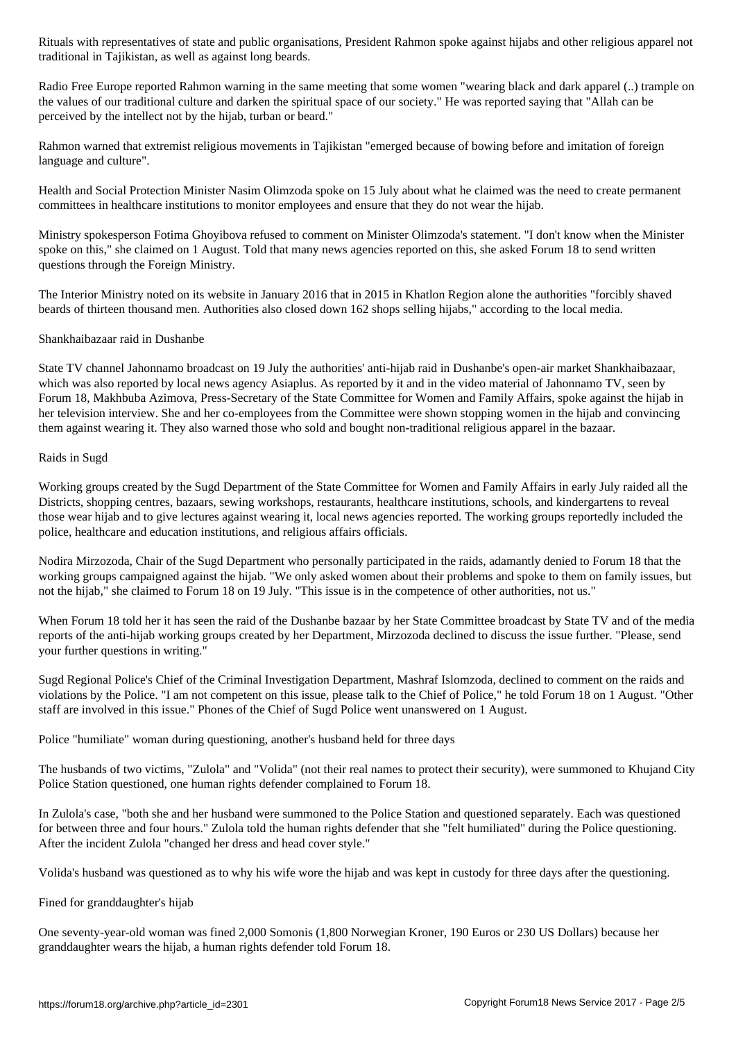traditional in Tajikistan, as well as against long beards.

Radio Free Europe reported Rahmon warning in the same meeting that some women "wearing black and dark apparel (..) trample on the values of our traditional culture and darken the spiritual space of our society." He was reported saying that "Allah can be perceived by the intellect not by the hijab, turban or beard."

Rahmon warned that extremist religious movements in Tajikistan "emerged because of bowing before and imitation of foreign language and culture".

Health and Social Protection Minister Nasim Olimzoda spoke on 15 July about what he claimed was the need to create permanent committees in healthcare institutions to monitor employees and ensure that they do not wear the hijab.

Ministry spokesperson Fotima Ghoyibova refused to comment on Minister Olimzoda's statement. "I don't know when the Minister spoke on this," she claimed on 1 August. Told that many news agencies reported on this, she asked Forum 18 to send written questions through the Foreign Ministry.

The Interior Ministry noted on its website in January 2016 that in 2015 in Khatlon Region alone the authorities "forcibly shaved beards of thirteen thousand men. Authorities also closed down 162 shops selling hijabs," according to the local media.

# Shankhaibazaar raid in Dushanbe

State TV channel Jahonnamo broadcast on 19 July the authorities' anti-hijab raid in Dushanbe's open-air market Shankhaibazaar, which was also reported by local news agency Asiaplus. As reported by it and in the video material of Jahonnamo TV, seen by Forum 18, Makhbuba Azimova, Press-Secretary of the State Committee for Women and Family Affairs, spoke against the hijab in her television interview. She and her co-employees from the Committee were shown stopping women in the hijab and convincing them against wearing it. They also warned those who sold and bought non-traditional religious apparel in the bazaar.

# Raids in Sugd

Working groups created by the Sugd Department of the State Committee for Women and Family Affairs in early July raided all the Districts, shopping centres, bazaars, sewing workshops, restaurants, healthcare institutions, schools, and kindergartens to reveal those wear hijab and to give lectures against wearing it, local news agencies reported. The working groups reportedly included the police, healthcare and education institutions, and religious affairs officials.

Nodira Mirzozoda, Chair of the Sugd Department who personally participated in the raids, adamantly denied to Forum 18 that the working groups campaigned against the hijab. "We only asked women about their problems and spoke to them on family issues, but not the hijab," she claimed to Forum 18 on 19 July. "This issue is in the competence of other authorities, not us."

When Forum 18 told her it has seen the raid of the Dushanbe bazaar by her State Committee broadcast by State TV and of the media reports of the anti-hijab working groups created by her Department, Mirzozoda declined to discuss the issue further. "Please, send your further questions in writing."

Sugd Regional Police's Chief of the Criminal Investigation Department, Mashraf Islomzoda, declined to comment on the raids and violations by the Police. "I am not competent on this issue, please talk to the Chief of Police," he told Forum 18 on 1 August. "Other staff are involved in this issue." Phones of the Chief of Sugd Police went unanswered on 1 August.

Police "humiliate" woman during questioning, another's husband held for three days

The husbands of two victims, "Zulola" and "Volida" (not their real names to protect their security), were summoned to Khujand City Police Station questioned, one human rights defender complained to Forum 18.

In Zulola's case, "both she and her husband were summoned to the Police Station and questioned separately. Each was questioned for between three and four hours." Zulola told the human rights defender that she "felt humiliated" during the Police questioning. After the incident Zulola "changed her dress and head cover style."

Volida's husband was questioned as to why his wife wore the hijab and was kept in custody for three days after the questioning.

Fined for granddaughter's hijab

One seventy-year-old woman was fined 2,000 Somonis (1,800 Norwegian Kroner, 190 Euros or 230 US Dollars) because her granddaughter wears the hijab, a human rights defender told Forum 18.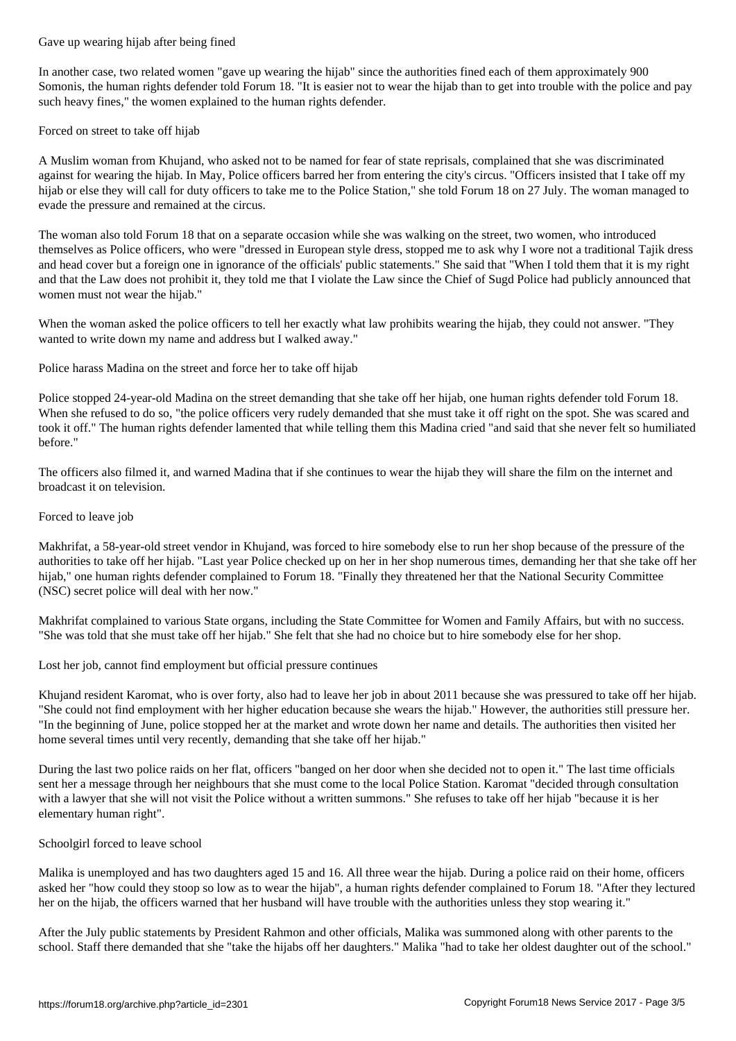In another case, two related women "gave up wearing the hijab" since the authorities fined each of them approximately 900 Somonis, the human rights defender told Forum 18. "It is easier not to wear the hijab than to get into trouble with the police and pay such heavy fines," the women explained to the human rights defender.

Forced on street to take off hijab

A Muslim woman from Khujand, who asked not to be named for fear of state reprisals, complained that she was discriminated against for wearing the hijab. In May, Police officers barred her from entering the city's circus. "Officers insisted that I take off my hijab or else they will call for duty officers to take me to the Police Station," she told Forum 18 on 27 July. The woman managed to evade the pressure and remained at the circus.

The woman also told Forum 18 that on a separate occasion while she was walking on the street, two women, who introduced themselves as Police officers, who were "dressed in European style dress, stopped me to ask why I wore not a traditional Tajik dress and head cover but a foreign one in ignorance of the officials' public statements." She said that "When I told them that it is my right and that the Law does not prohibit it, they told me that I violate the Law since the Chief of Sugd Police had publicly announced that women must not wear the hijab."

When the woman asked the police officers to tell her exactly what law prohibits wearing the hijab, they could not answer. "They wanted to write down my name and address but I walked away."

Police harass Madina on the street and force her to take off hijab

Police stopped 24-year-old Madina on the street demanding that she take off her hijab, one human rights defender told Forum 18. When she refused to do so, "the police officers very rudely demanded that she must take it off right on the spot. She was scared and took it off." The human rights defender lamented that while telling them this Madina cried "and said that she never felt so humiliated before."

The officers also filmed it, and warned Madina that if she continues to wear the hijab they will share the film on the internet and broadcast it on television.

### Forced to leave job

Makhrifat, a 58-year-old street vendor in Khujand, was forced to hire somebody else to run her shop because of the pressure of the authorities to take off her hijab. "Last year Police checked up on her in her shop numerous times, demanding her that she take off her hijab," one human rights defender complained to Forum 18. "Finally they threatened her that the National Security Committee (NSC) secret police will deal with her now."

Makhrifat complained to various State organs, including the State Committee for Women and Family Affairs, but with no success. "She was told that she must take off her hijab." She felt that she had no choice but to hire somebody else for her shop.

Lost her job, cannot find employment but official pressure continues

Khujand resident Karomat, who is over forty, also had to leave her job in about 2011 because she was pressured to take off her hijab. "She could not find employment with her higher education because she wears the hijab." However, the authorities still pressure her. "In the beginning of June, police stopped her at the market and wrote down her name and details. The authorities then visited her home several times until very recently, demanding that she take off her hijab."

During the last two police raids on her flat, officers "banged on her door when she decided not to open it." The last time officials sent her a message through her neighbours that she must come to the local Police Station. Karomat "decided through consultation with a lawyer that she will not visit the Police without a written summons." She refuses to take off her hijab "because it is her elementary human right".

# Schoolgirl forced to leave school

Malika is unemployed and has two daughters aged 15 and 16. All three wear the hijab. During a police raid on their home, officers asked her "how could they stoop so low as to wear the hijab", a human rights defender complained to Forum 18. "After they lectured her on the hijab, the officers warned that her husband will have trouble with the authorities unless they stop wearing it."

After the July public statements by President Rahmon and other officials, Malika was summoned along with other parents to the school. Staff there demanded that she "take the hijabs off her daughters." Malika "had to take her oldest daughter out of the school."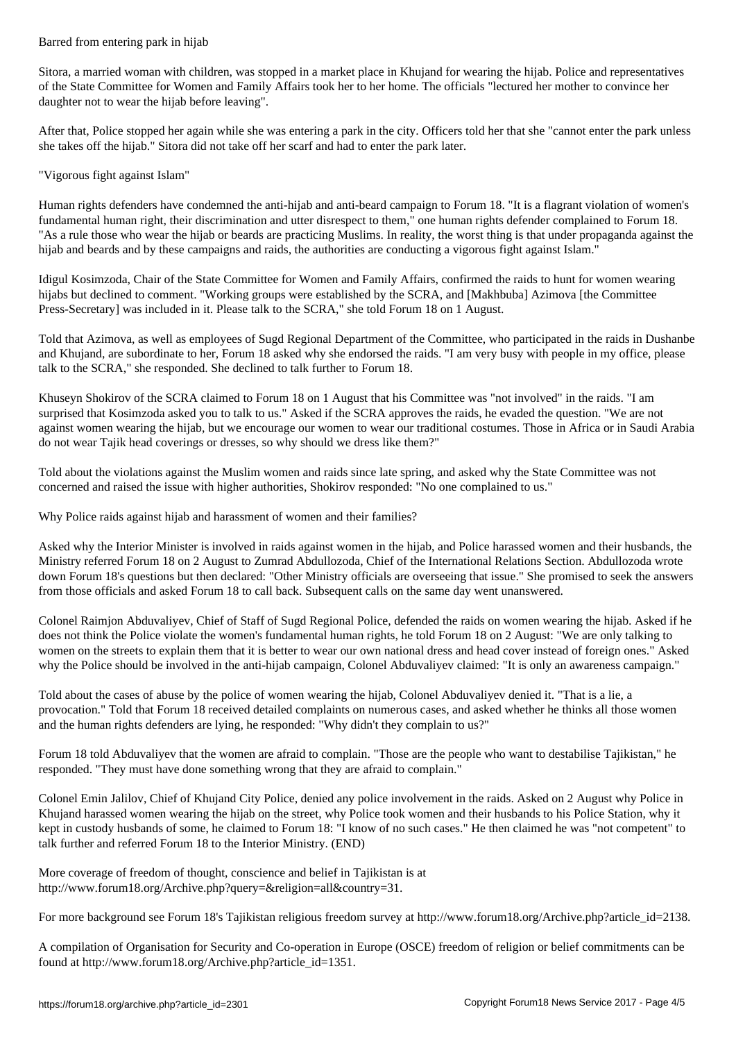Sitora, a married woman with children, was stopped in a market place in Khujand for wearing the hijab. Police and representatives of the State Committee for Women and Family Affairs took her to her home. The officials "lectured her mother to convince her daughter not to wear the hijab before leaving".

After that, Police stopped her again while she was entering a park in the city. Officers told her that she "cannot enter the park unless she takes off the hijab." Sitora did not take off her scarf and had to enter the park later.

# "Vigorous fight against Islam"

Human rights defenders have condemned the anti-hijab and anti-beard campaign to Forum 18. "It is a flagrant violation of women's fundamental human right, their discrimination and utter disrespect to them," one human rights defender complained to Forum 18. "As a rule those who wear the hijab or beards are practicing Muslims. In reality, the worst thing is that under propaganda against the hijab and beards and by these campaigns and raids, the authorities are conducting a vigorous fight against Islam."

Idigul Kosimzoda, Chair of the State Committee for Women and Family Affairs, confirmed the raids to hunt for women wearing hijabs but declined to comment. "Working groups were established by the SCRA, and [Makhbuba] Azimova [the Committee Press-Secretary] was included in it. Please talk to the SCRA," she told Forum 18 on 1 August.

Told that Azimova, as well as employees of Sugd Regional Department of the Committee, who participated in the raids in Dushanbe and Khujand, are subordinate to her, Forum 18 asked why she endorsed the raids. "I am very busy with people in my office, please talk to the SCRA," she responded. She declined to talk further to Forum 18.

Khuseyn Shokirov of the SCRA claimed to Forum 18 on 1 August that his Committee was "not involved" in the raids. "I am surprised that Kosimzoda asked you to talk to us." Asked if the SCRA approves the raids, he evaded the question. "We are not against women wearing the hijab, but we encourage our women to wear our traditional costumes. Those in Africa or in Saudi Arabia do not wear Tajik head coverings or dresses, so why should we dress like them?"

Told about the violations against the Muslim women and raids since late spring, and asked why the State Committee was not concerned and raised the issue with higher authorities, Shokirov responded: "No one complained to us."

Why Police raids against hijab and harassment of women and their families?

Asked why the Interior Minister is involved in raids against women in the hijab, and Police harassed women and their husbands, the Ministry referred Forum 18 on 2 August to Zumrad Abdullozoda, Chief of the International Relations Section. Abdullozoda wrote down Forum 18's questions but then declared: "Other Ministry officials are overseeing that issue." She promised to seek the answers from those officials and asked Forum 18 to call back. Subsequent calls on the same day went unanswered.

Colonel Raimjon Abduvaliyev, Chief of Staff of Sugd Regional Police, defended the raids on women wearing the hijab. Asked if he does not think the Police violate the women's fundamental human rights, he told Forum 18 on 2 August: "We are only talking to women on the streets to explain them that it is better to wear our own national dress and head cover instead of foreign ones." Asked why the Police should be involved in the anti-hijab campaign, Colonel Abduvaliyev claimed: "It is only an awareness campaign."

Told about the cases of abuse by the police of women wearing the hijab, Colonel Abduvaliyev denied it. "That is a lie, a provocation." Told that Forum 18 received detailed complaints on numerous cases, and asked whether he thinks all those women and the human rights defenders are lying, he responded: "Why didn't they complain to us?"

Forum 18 told Abduvaliyev that the women are afraid to complain. "Those are the people who want to destabilise Tajikistan," he responded. "They must have done something wrong that they are afraid to complain."

Colonel Emin Jalilov, Chief of Khujand City Police, denied any police involvement in the raids. Asked on 2 August why Police in Khujand harassed women wearing the hijab on the street, why Police took women and their husbands to his Police Station, why it kept in custody husbands of some, he claimed to Forum 18: "I know of no such cases." He then claimed he was "not competent" to talk further and referred Forum 18 to the Interior Ministry. (END)

More coverage of freedom of thought, conscience and belief in Tajikistan is at http://www.forum18.org/Archive.php?query=&religion=all&country=31.

For more background see Forum 18's Tajikistan religious freedom survey at http://www.forum18.org/Archive.php?article\_id=2138.

A compilation of Organisation for Security and Co-operation in Europe (OSCE) freedom of religion or belief commitments can be found at http://www.forum18.org/Archive.php?article\_id=1351.